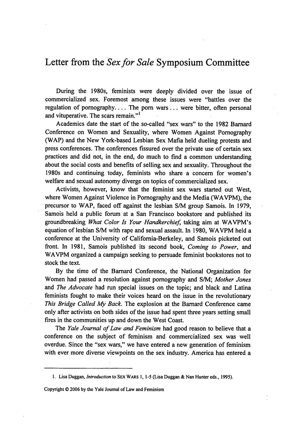## Letter from the *Sex for Sale* Symposium Committee

During the 1980s, feminists were deeply divided over the issue of commercialized sex. Foremost among these issues were "battles over the regulation of pomography.... The porn wars... were bitter, often personal and vituperative. The scars remain."<sup>1</sup>

Academics date the start of the so-called "sex wars" to the 1982 Barnard Conference on Women and Sexuality, where Women Against Pornography (WAP) and the New York-based Lesbian Sex Mafia held dueling protests and press conferences. The conferences fissured over the private use of certain sex practices and did not, in the end, do much to find a common understanding about the social costs and benefits of selling sex and sexuality. Throughout the 1980s and continuing today, feminists who share a concern for women's welfare and sexual autonomy diverge on topics of commercialized sex.

Activists, however, know that the feminist sex wars started out West, where Women Against Violence in Pornography and the Media (WAVPM), the precursor to WAP, faced off against the lesbian S/M group Samois. In 1979, Samois held a public forum at a San Francisco bookstore and published its groundbreaking *What Color Is Your Handkerchief,* taking aim at WAVPM's equation of lesbian **S/M** with rape and sexual assault. In 1980, WAVPM held a conference at the University of California-Berkeley, and Samois picketed out front. In 1981, Samois published its second book, Coming *to Power,* and WAVPM organized a campaign seeking to persuade feminist bookstores not to stock the text.

By the time of the Barnard Conference, the National Organization for Women had passed a resolution against pornography and S/M; *Mother Jones* and *The Advocate* had run special issues on the topic; and black and Latina feminists fought to make their voices heard on the issue in the revolutionary *This Bridge Called My* Back. The explosion at the Barnard Conference came only after activists on both sides of the issue had spent three years setting small fires in the communities up and down the West Coast.

The *Yale Journal of Law and Feminism* had good reason to believe that a conference on the subject of feminism and commercialized sex was well overdue. Since the "sex wars," we have entered a new generation of feminism with ever more diverse viewpoints on the sex industry. America has entered a

Copyright **0** 2006 **by** the Yale Journal of Law and Feminism

**<sup>1.</sup>** Lisa Duggan, *Introduction* to SEX WARS 1, **1-5** (Lisa Duggan & Nan Hunter eds., 1995).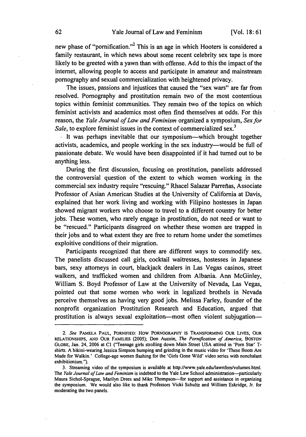new phase of "pornification."<sup>2</sup> This is an age in which Hooters is considered a family restaurant, in which news about some recent celebrity sex tape is more likely to be greeted with a yawn than with offense. Add to this the impact of the internet, allowing people to access and participate in amateur and mainstream pornography and sexual commercialization with heightened privacy.

The issues, passions and injustices that caused the "sex wars" are far from resolved. Pornography and prostitution remain two of the most contentious topics within feminist communities. They remain two of the topics on which feminist activists and academics most often find themselves at odds. For this reason, the *Yale Journal of Law and Feminism* organized a symposium, *Sex for* Sale, to explore feminist issues in the context of commercialized sex.<sup>3</sup>

It was perhaps inevitable that our symposium-which brought together activists, academics, and people working in the sex industry-would be full of passionate debate. We would have been disappointed if it had turned out to be anything less.

During the first discussion, focusing on prostitution, panelists addressed the controversial question of the extent to which women working in the commercial sex industry require "rescuing." Rhacel Salazar Parreñas, Associate Professor of Asian American Studies at the University of California at Davis, explained that her work living and working with Filipino hostesses in Japan showed migrant workers who choose to travel to a different country for better jobs. These women, who rarely engage in prostitution, do not need or want to be "rescued." Participants disagreed on whether these women are trapped in their jobs and to what extent they are free to return home under the sometimes exploitive conditions of their migration.

Participants recognized that there are different ways to commodify sex. The panelists discussed call girls, cocktail waitresses, hostesses in Japanese bars, sexy attorneys in court, blackjack dealers in Las Vegas casinos, street walkers, and trafficked women and children from Albania. Ann McGinley, William S. Boyd Professor of Law at the University of Nevada, Las Vegas, pointed out that some women who work in legalized brothels in Nevada perceive themselves as having very good jobs. Melissa Farley, founder of the nonprofit organization Prostitution Research and Education, argued that prostitution is always sexual exploitation—most often violent subjugation—

*<sup>2.</sup> See* **PAMELA PAUL,** PORNIFIED: How PORNOGRAPHY IS **TRANSFORMING** OUR **LIVES,** OUR **RELATIONSHIPS, AND** OUR **FAMILIES** (2005); Don Aucoin, *The Pornification of America,* **BOSTON** GLOBE, Jan. 24, 2006 at **C1** ("Teenage girls strolling down Main Street USA attired in 'Porn Star' Tshirts. A bikini-wearing Jessica Simpson bumping and grinding in the music video for 'These Boots Are Made for Walkin.' College-age women flashing for the 'Girls Gone Wild' video series with nonchalant exhibitionism.").

**<sup>3.</sup>** Streaming video of the symposium is available at http://www.yale.edu/lawnfem/volumes.html. The *Yale Journal of Law and Feminism* is indebted to the Yale Law School administration-particularly Maura Sichol-Sprague, Marilyn Drees and Mike Thompson-for support and assistance in organizing the symposium. We would also like to thank Professors Vicki Schultz and William Eskridge, Jr. for moderating the two panels.